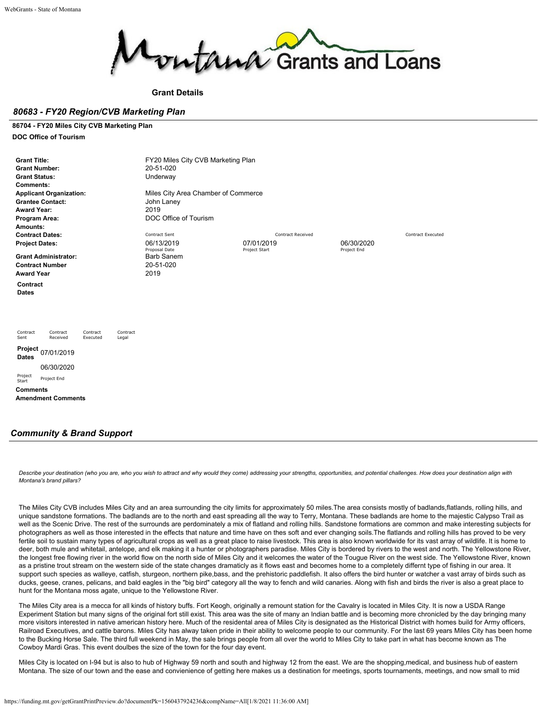

**Grant Details**

### *80683 - FY20 Region/CVB Marketing Plan*

### **86704 - FY20 Miles City CVB Marketing Plan**

**DOC Office of Tourism**

| <b>Grant Title:</b><br><b>Grant Number:</b><br><b>Grant Status:</b><br><b>Comments:</b><br><b>Applicant Organization:</b><br><b>Grantee Contact:</b><br><b>Award Year:</b><br>Program Area:<br>Amounts: | FY20 Miles City CVB Marketing Plan<br>20-51-020<br>Underway<br>Miles City Area Chamber of Commerce<br>John Laney<br>2019<br>DOC Office of Tourism |                                 |             |                          |
|---------------------------------------------------------------------------------------------------------------------------------------------------------------------------------------------------------|---------------------------------------------------------------------------------------------------------------------------------------------------|---------------------------------|-------------|--------------------------|
| <b>Contract Dates:</b><br><b>Project Dates:</b>                                                                                                                                                         | Contract Sent<br>06/13/2019                                                                                                                       | Contract Received<br>07/01/2019 | 06/30/2020  | <b>Contract Executed</b> |
| <b>Grant Administrator:</b><br><b>Contract Number</b><br><b>Award Year</b>                                                                                                                              | Proposal Date<br><b>Barb Sanem</b><br>20-51-020<br>2019                                                                                           | Project Start                   | Project End |                          |
| Contract<br><b>Dates</b>                                                                                                                                                                                |                                                                                                                                                   |                                 |             |                          |
| Contract<br>Contract<br>Contract<br>Contract<br>Sent<br>Received<br>Executed<br>Legal                                                                                                                   |                                                                                                                                                   |                                 |             |                          |
| Project<br>07/01/2019<br><b>Dates</b>                                                                                                                                                                   |                                                                                                                                                   |                                 |             |                          |
| 06/30/2020                                                                                                                                                                                              |                                                                                                                                                   |                                 |             |                          |
| Project<br>Project End<br>Start                                                                                                                                                                         |                                                                                                                                                   |                                 |             |                          |
| <b>Comments</b><br><b>Amendment Comments</b>                                                                                                                                                            |                                                                                                                                                   |                                 |             |                          |

### *Community & Brand Support*

*Describe your destination (who you are, who you wish to attract and why would they come) addressing your strengths, opportunities, and potential challenges. How does your destination align with Montana's brand pillars?*

The Miles City CVB includes Miles City and an area surrounding the city limits for approximately 50 miles.The area consists mostly of badlands,flatlands, rolling hills, and unique sandstone formations. The badlands are to the north and east spreading all the way to Terry, Montana. These badlands are home to the majestic Calypso Trail as well as the Scenic Drive. The rest of the surrounds are perdominately a mix of flatland and rolling hills. Sandstone formations are common and make interesting subjects for photographers as well as those interested in the effects that nature and time have on thes soft and ever changing soils.The flatlands and rolling hills has proved to be very fertile soil to sustain many types of agricultural crops as well as a great place to raise livestock. This area is also known worldwide for its vast array of wildlife. It is home to deer, both mule and whitetail, antelope, and elk making it a hunter or photographers paradise. Miles City is bordered by rivers to the west and north. The Yellowstone River, the longest free flowing river in the world flow on the north side of Miles City and it welcomes the water of the Tougue River on the west side. The Yellowstone River, known as a pristine trout stream on the western side of the state changes dramaticly as it flows east and becomes home to a completely differnt type of fishing in our area. It support such species as walleye, catfish, sturgeon, northern pike,bass, and the prehistoric paddlefish. It also offers the bird hunter or watcher a vast array of birds such as ducks, geese, cranes, pelicans, and bald eagles in the "big bird" category all the way to fench and wild canaries. Along with fish and birds the river is also a great place to hunt for the Montana moss agate, unique to the Yellowstone River.

The Miles City area is a mecca for all kinds of history buffs. Fort Keogh, originally a remount station for the Cavalry is located in Miles City. It is now a USDA Range Experiment Station but many signs of the original fort still exist. This area was the site of many an Indian battle and is becoming more chronicled by the day bringing many more visitors interested in native american history here. Much of the residental area of Miles City is designated as the Historical District with homes build for Army officers, Railroad Executives, and cattle barons. Miles City has alway taken pride in their ability to welcome people to our community. For the last 69 years Miles City has been home to the Bucking Horse Sale. The third full weekend in May, the sale brings people from all over the world to Miles City to take part in what has become known as The Cowboy Mardi Gras. This event doulbes the size of the town for the four day event.

Miles City is located on I-94 but is also to hub of Highway 59 north and south and highway 12 from the east. We are the shopping,medical, and business hub of eastern Montana. The size of our town and the ease and convienience of getting here makes us a destination for meetings, sports tournaments, meetings, and now small to mid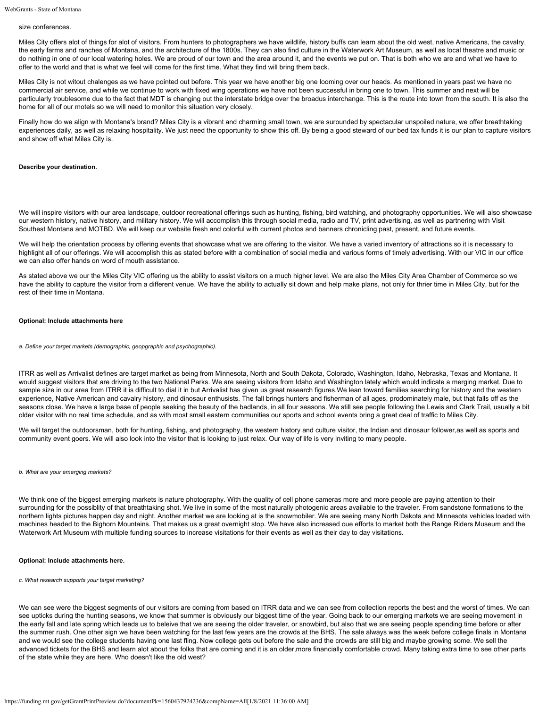#### size conferences.

Miles City offers alot of things for alot of visitors. From hunters to photographers we have wildlife, history buffs can learn about the old west, native Americans, the cavalry, the early farms and ranches of Montana, and the architecture of the 1800s. They can also find culture in the Waterwork Art Museum, as well as local theatre and music or do nothing in one of our local watering holes. We are proud of our town and the area around it, and the events we put on. That is both who we are and what we have to offer to the world and that is what we feel will come for the first time. What they find will bring them back.

Miles City is not witout chalenges as we have pointed out before. This year we have another big one looming over our heads. As mentioned in years past we have no commercial air service, and while we continue to work with fixed wing operations we have not been successful in bring one to town. This summer and next will be particularly troublesome due to the fact that MDT is changing out the interstate bridge over the broadus interchange. This is the route into town from the south. It is also the home for all of our motels so we will need to monitor this situation very closely.

Finally how do we align with Montana's brand? Miles City is a vibrant and charming small town, we are surounded by spectacular unspoiled nature, we offer breathtaking experiences daily, as well as relaxing hospitality. We just need the opportunity to show this off. By being a good steward of our bed tax funds it is our plan to capture visitors and show off what Miles City is.

#### **Describe your destination.**

We will inspire visitors with our area landscape, outdoor recreational offerings such as hunting, fishing, bird watching, and photography opportunities. We will also showcase our western history, native history, and military history. We will accomplish this through social media, radio and TV, print advertising, as well as partnering with Visit Southest Montana and MOTBD. We will keep our website fresh and colorful with current photos and banners chronicling past, present, and future events.

We will help the orientation process by offering events that showcase what we are offering to the visitor. We have a varied inventory of attractions so it is necessary to highlight all of our offerings. We will accomplish this as stated before with a combination of social media and various forms of timely advertising. With our VIC in our office we can also offer hands on word of mouth assistance.

As stated above we our the Miles City VIC offering us the ability to assist visitors on a much higher level. We are also the Miles City Area Chamber of Commerce so we have the ability to capture the visitor from a different venue. We have the ability to actually sit down and help make plans, not only for thrier time in Miles City, but for the rest of their time in Montana.

### **Optional: Include attachments here**

*a. Define your target markets (demographic, geopgraphic and psychographic).*

ITRR as well as Arrivalist defines are target market as being from Minnesota, North and South Dakota, Colorado, Washington, Idaho, Nebraska, Texas and Montana. It would suggest visitors that are driving to the two National Parks. We are seeing visitors from Idaho and Washington lately which would indicate a merging market. Due to sample size in our area from ITRR it is difficult to dial it in but Arrivalist has given us great research figures. We lean toward families searching for history and the western experience, Native American and cavalry history, and dinosaur enthusists. The fall brings hunters and fisherman of all ages, prodominately male, but that falls off as the seasons close. We have a large base of people seeking the beauty of the badlands, in all four seasons. We still see people following the Lewis and Clark Trail, usually a bit older visitor with no real time schedule, and as with most small eastern communities our sports and school events bring a great deal of traffic to Miles City.

We will target the outdoorsman, both for hunting, fishing, and photography, the western history and culture visitor, the Indian and dinosaur follower, as well as sports and community event goers. We will also look into the visitor that is looking to just relax. Our way of life is very inviting to many people.

### *b. What are your emerging markets?*

We think one of the biggest emerging markets is nature photography. With the quality of cell phone cameras more and more people are paying attention to their surrounding for the possiblity of that breathtaking shot. We live in some of the most naturally photogenic areas available to the traveler. From sandstone formations to the northern lights pictures happen day and night. Another market we are looking at is the snowmobiler. We are seeing many North Dakota and Minnesota vehicles loaded with machines headed to the Bighorn Mountains. That makes us a great overnight stop. We have also increased oue efforts to market both the Range Riders Museum and the Waterwork Art Museum with multiple funding sources to increase visitations for their events as well as their day to day visitations.

### **Optional: Include attachments here.**

*c. What research supports your target marketing?*

We can see were the biggest segments of our visitors are coming from based on ITRR data and we can see from collection reports the best and the worst of times. We can see upticks during the hunting seasons, we know that summer is obviously our biggest time of the year. Going back to our emerging markets we are seeing movement in the early fall and late spring which leads us to beleive that we are seeing the older traveler, or snowbird, but also that we are seeing people spending time before or after the summer rush. One other sign we have been watching for the last few years are the crowds at the BHS. The sale always was the week before college finals in Montana and we would see the college students having one last fling. Now college gets out before the sale and the crowds are still big and maybe growing some. We sell the advanced tickets for the BHS and learn alot about the folks that are coming and it is an older,more financially comfortable crowd. Many taking extra time to see other parts of the state while they are here. Who doesn't like the old west?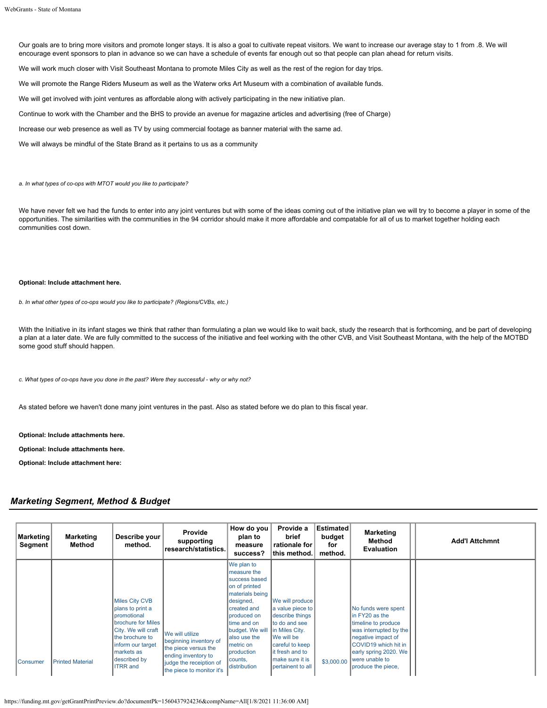Our goals are to bring more visitors and promote longer stays. It is also a goal to cultivate repeat visitors. We want to increase our average stay to 1 from .8. We will encourage event sponsors to plan in advance so we can have a schedule of events far enough out so that people can plan ahead for return visits. We will work much closer with Visit Southeast Montana to promote Miles City as well as the rest of the region for day trips. We will promote the Range Riders Museum as well as the Waterw orks Art Museum with a combination of available funds. We will get involved with joint ventures as affordable along with actively participating in the new initiative plan. Continue to work with the Chamber and the BHS to provide an avenue for magazine articles and advertising (free of Charge) Increase our web presence as well as TV by using commercial footage as banner material with the same ad.

We will always be mindful of the State Brand as it pertains to us as a community

*a. In what types of co-ops with MTOT would you like to participate?*

We have never felt we had the funds to enter into any joint ventures but with some of the ideas coming out of the initiative plan we will try to become a player in some of the opportunities. The similarities with the communities in the 94 corridor should make it more affordable and compatable for all of us to market together holding each communities cost down.

#### **Optional: Include attachment here.**

*b. In what other types of co-ops would you like to participate? (Regions/CVBs, etc.)*

With the Initiative in its infant stages we think that rather than formulating a plan we would like to wait back, study the research that is forthcoming, and be part of developing a plan at a later date. We are fully committed to the success of the initiative and feel working with the other CVB, and Visit Southeast Montana, with the help of the MOTBD some good stuff should happen.

*c. What types of co-ops have you done in the past? Were they successful - why or why not?*

As stated before we haven't done many joint ventures in the past. Also as stated before we do plan to this fiscal year.

**Optional: Include attachments here.**

**Optional: Include attachments here.**

**Optional: Include attachment here:**

## *Marketing Segment, Method & Budget*

| <b>Marketing</b><br>Segment | <b>Marketing</b><br>Method | Describe your<br>method.                                                                                                                                                                       | Provide<br>supporting<br>research/statistics.                                                                                                    | How do you<br>plan to<br>measure<br>success?                                                                                                                                                                                      | Provide a<br>brief<br>rationale for<br>∣this method.                                                                                                                                   | <b>Estimated</b><br>budget<br>for<br>method. | <b>Marketing</b><br>Method<br><b>Evaluation</b>                                                                                                                                                       | <b>Add'l Attchmnt</b> |
|-----------------------------|----------------------------|------------------------------------------------------------------------------------------------------------------------------------------------------------------------------------------------|--------------------------------------------------------------------------------------------------------------------------------------------------|-----------------------------------------------------------------------------------------------------------------------------------------------------------------------------------------------------------------------------------|----------------------------------------------------------------------------------------------------------------------------------------------------------------------------------------|----------------------------------------------|-------------------------------------------------------------------------------------------------------------------------------------------------------------------------------------------------------|-----------------------|
| Consumer                    | <b>Printed Material</b>    | <b>Miles City CVB</b><br>plans to print a<br>promotional<br>brochure for Miles<br>City. We will craft<br>the brochure to<br>inform our target<br>markets as<br>described by<br><b>ITRR</b> and | We will utilize<br>beginning inventory of<br>the piece versus the<br>ending inventory to<br>judge the receiption of<br>the piece to monitor it's | We plan to<br>measure the<br>success based<br>on of printed<br>materials being<br>designed,<br>created and<br>produced on<br>time and on<br>budget. We will<br>also use the<br>metric on<br>production<br>counts,<br>distribution | We will produce<br>a value piece to<br>describe things<br>to do and see<br>In Miles City.<br>We will be<br>careful to keep<br>it fresh and to<br>make sure it is<br>Ipertainent to all | \$3,000.00                                   | No funds were spent<br>in FY20 as the<br>timeline to produce<br>was interrupted by the<br>negative impact of<br>COVID19 which hit in<br>early spring 2020. We<br>were unable to<br>produce the piece, |                       |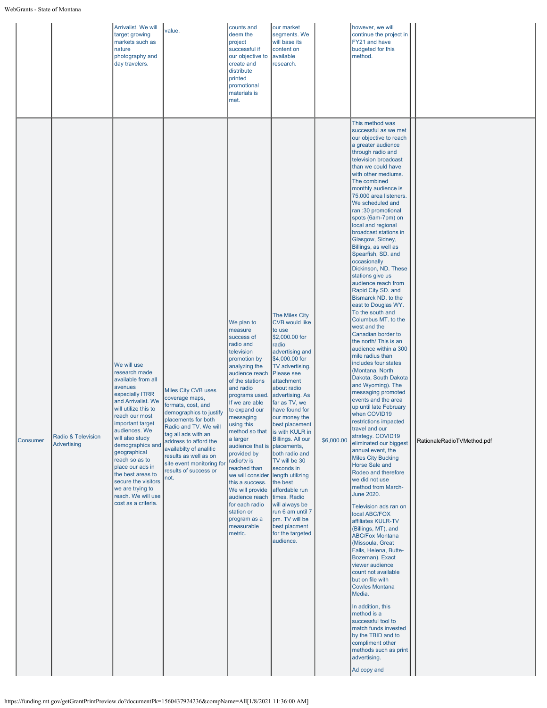|          |                                   | Arrivalist. We will<br>target growing<br>markets such as<br>nature<br>photography and<br>day travelers.                                                                                                                                                                                                                                                                                         | value.                                                                                                                                                                                                                                                                                                   | counts and<br>deem the<br>project<br>successful if<br>our objective to<br>create and<br>distribute<br>printed<br>promotional<br>materials is<br>met.                                                                                                                                                                                                                                                                                                                                  | our market<br>segments. We<br>will base its<br>content on<br>available<br>research.                                                                                                                                                                                                                                                                                                                                                                                                                                                                          |            | however, we will<br>continue the project in<br>FY21 and have<br>budgeted for this<br>method.                                                                                                                                                                                                                                                                                                                                                                                                                                                                                                                                                                                                                                                                                                                                                                                                                                                                                                                                                                                                                                                                                                                                                                                                                                                                                                                                                                                                                                                                                                                                                       |                            |
|----------|-----------------------------------|-------------------------------------------------------------------------------------------------------------------------------------------------------------------------------------------------------------------------------------------------------------------------------------------------------------------------------------------------------------------------------------------------|----------------------------------------------------------------------------------------------------------------------------------------------------------------------------------------------------------------------------------------------------------------------------------------------------------|---------------------------------------------------------------------------------------------------------------------------------------------------------------------------------------------------------------------------------------------------------------------------------------------------------------------------------------------------------------------------------------------------------------------------------------------------------------------------------------|--------------------------------------------------------------------------------------------------------------------------------------------------------------------------------------------------------------------------------------------------------------------------------------------------------------------------------------------------------------------------------------------------------------------------------------------------------------------------------------------------------------------------------------------------------------|------------|----------------------------------------------------------------------------------------------------------------------------------------------------------------------------------------------------------------------------------------------------------------------------------------------------------------------------------------------------------------------------------------------------------------------------------------------------------------------------------------------------------------------------------------------------------------------------------------------------------------------------------------------------------------------------------------------------------------------------------------------------------------------------------------------------------------------------------------------------------------------------------------------------------------------------------------------------------------------------------------------------------------------------------------------------------------------------------------------------------------------------------------------------------------------------------------------------------------------------------------------------------------------------------------------------------------------------------------------------------------------------------------------------------------------------------------------------------------------------------------------------------------------------------------------------------------------------------------------------------------------------------------------------|----------------------------|
| Consumer | Radio & Television<br>Advertising | We will use<br>research made<br>available from all<br>avenues<br>especially ITRR<br>and Arrivalist. We<br>will utilize this to<br>reach our most<br>important target<br>audiences. We<br>will also study<br>demographics and<br>geographical<br>reach so as to<br>place our ads in<br>the best areas to<br>secure the visitors<br>we are trying to<br>reach. We will use<br>cost as a criteria. | Miles City CVB uses<br>coverage maps,<br>formats, cost, and<br>demographics to justify<br>placements for both<br>Radio and TV. We will<br>tag all ads with an<br>address to afford the<br>availabilty of analitic<br>results as well as on<br>site event monitoring for<br>results of success or<br>not. | We plan to<br>measure<br>success of<br>radio and<br>television<br>promotion by<br>analyzing the<br>audience reach<br>of the stations<br>and radio<br>programs used<br>If we are able<br>to expand our<br>messaging<br>using this<br>method so that<br>a larger<br>audience that is<br>provided by<br>radio/tv is<br>reached than<br>we will consider<br>this a success.<br>We will provide<br>audience reach<br>for each radio<br>station or<br>program as a<br>measurable<br>metric. | The Miles City<br><b>CVB</b> would like<br>to use<br>\$2,000.00 for<br>radio<br>advertising and<br>\$4,000.00 for<br>TV advertising.<br>Please see<br>attachment<br>about radio<br>advertising. As<br>far as TV, we<br>have found for<br>our money the<br>best placement<br>is with KULR in<br>Billings. All our<br>placements,<br>both radio and<br>TV will be 30<br>seconds in<br>length utilizing<br>the best<br>affordable run<br>times. Radio<br>will always be<br>run 6 am until 7<br>pm. TV will be<br>best placment<br>for the targeted<br>audience. | \$6,000.00 | This method was<br>successful as we met<br>our objective to reach<br>a greater audience<br>through radio and<br>television broadcast<br>than we could have<br>with other mediums.<br>The combined<br>monthly audience is<br>75,000 area listeners.<br>We scheduled and<br>ran: 30 promotional<br>spots (6am-7pm) on<br>local and regional<br>broadcast stations in<br>Glasgow, Sidney,<br>Billings, as well as<br>Spearfish, SD. and<br>occasionally<br>Dickinson, ND. These<br>stations give us<br>audience reach from<br>Rapid City SD. and<br>Bismarck ND. to the<br>east to Douglas WY.<br>To the south and<br>Columbus MT. to the<br>west and the<br>Canadian border to<br>the north/ This is an<br>audience within a 300<br>mile radius than<br>includes four states<br>(Montana, North<br>Dakota, South Dakota<br>and Wyoming). The<br>messaging promoted<br>events and the area<br>up until late February<br>when COVID19<br>restrictions impacted<br>travel and our<br>strategy. COVID19<br>eliminated our biggest<br>annual event, the<br><b>Miles City Bucking</b><br>Horse Sale and<br>Rodeo and therefore<br>we did not use<br>method from March-<br>June 2020.<br>Television ads ran on<br>local ABC/FOX<br>affiliates KULR-TV<br>(Billings, MT), and<br><b>ABC/Fox Montana</b><br>(Missoula, Great<br>Falls, Helena, Butte-<br>Bozeman). Exact<br>viewer audience<br>count not available<br>but on file with<br><b>Cowles Montana</b><br>Media.<br>In addition, this<br>method is a<br>successful tool to<br>match funds invested<br>by the TBID and to<br>compliment other<br>methods such as print<br>advertising.<br>Ad copy and | RationaleRadioTVMethod.pdf |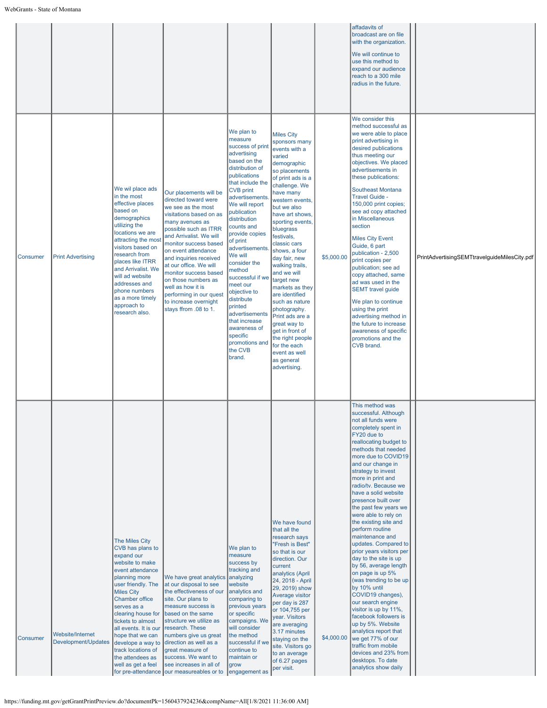|                 |                                                |                                                                                                                                                                                                                                                                                                                                                                          |                                                                                                                                                                                                                                                                                                                                                                                                                              |                                                                                                                                                                                                                                                                                                                                                                                                                                                                                                         |                                                                                                                                                                                                                                                                                                                                                                                                                                                                                                                                                                        |            | affadavits of<br>broadcast are on file<br>with the organization.<br>We will continue to<br>use this method to<br>expand our audience<br>reach to a 300 mile<br>radius in the future.                                                                                                                                                                                                                                                                                                                                                                                                                                                                                                                                                                                                                                                                              |                                              |
|-----------------|------------------------------------------------|--------------------------------------------------------------------------------------------------------------------------------------------------------------------------------------------------------------------------------------------------------------------------------------------------------------------------------------------------------------------------|------------------------------------------------------------------------------------------------------------------------------------------------------------------------------------------------------------------------------------------------------------------------------------------------------------------------------------------------------------------------------------------------------------------------------|---------------------------------------------------------------------------------------------------------------------------------------------------------------------------------------------------------------------------------------------------------------------------------------------------------------------------------------------------------------------------------------------------------------------------------------------------------------------------------------------------------|------------------------------------------------------------------------------------------------------------------------------------------------------------------------------------------------------------------------------------------------------------------------------------------------------------------------------------------------------------------------------------------------------------------------------------------------------------------------------------------------------------------------------------------------------------------------|------------|-------------------------------------------------------------------------------------------------------------------------------------------------------------------------------------------------------------------------------------------------------------------------------------------------------------------------------------------------------------------------------------------------------------------------------------------------------------------------------------------------------------------------------------------------------------------------------------------------------------------------------------------------------------------------------------------------------------------------------------------------------------------------------------------------------------------------------------------------------------------|----------------------------------------------|
| Consumer        | <b>Print Advertising</b>                       | We wil place ads<br>in the most<br>effective places<br>based on<br>demographics<br>utilizing the<br>locations we are<br>attracting the most<br>visitors based on<br>research from<br>places like ITRR<br>and Arrivalist. We<br>will ad website<br>addresses and<br>phone numbers<br>as a more timely<br>approach to<br>research also.                                    | Our placements will be<br>directed toward were<br>we see as the most<br>visitations based on as<br>many avenues as<br>possible such as ITRR<br>and Arrivalist. We will<br>monitor success based<br>on event attendance<br>and inquiries received<br>at our office. We will<br>monitor success based<br>on those numbers as<br>well as how it is<br>performing in our quest<br>to increase overnight<br>stays ffrom .08 to 1. | We plan to<br>measure<br>success of prin<br>advertising<br>based on the<br>distribution of<br>publications<br>that include the<br><b>CVB</b> print<br>advertisements<br>We will report<br>publication<br>distribution<br>counts and<br>provide copies<br>of print<br>advertisements<br>We will<br>consider the<br>method<br>successful if we<br>meet our<br>objective to<br>distribute<br>printed<br>advertisements<br>that increase<br>awareness of<br>specific<br>promotions and<br>the CVB<br>brand. | <b>Miles City</b><br>sponsors many<br>events with a<br>varied<br>demographic<br>so placements<br>of print ads is a<br>challenge. We<br>have many<br>western events,<br>but we also<br>have art shows,<br>sporting events,<br>bluegrass<br>festivals,<br>classic cars<br>shows, a four<br>day fair, new<br>walking trails,<br>and we will<br>target new<br>markets as they<br>are identified<br>such as nature<br>photography.<br>Print ads are a<br>great way to<br>get in front of<br>the right people<br>for the each<br>event as well<br>as general<br>advertising. | \$5,000.00 | We consider this<br>method successful as<br>we were able to place<br>print advertising in<br>desired publications<br>thus meeting our<br>objectives. We placed<br>advertisements in<br>these publications:<br>Southeast Montana<br>Travel Guide -<br>150,000 print copies;<br>see ad copy attached<br>in Miscellaneous<br>section<br><b>Miles City Event</b><br>Guide, 6 part<br>publication - 2,500<br>print copies per<br>publication; see ad<br>copy attached, same<br>ad was used in the<br><b>SEMT</b> travel guide<br>We plan to continue<br>using the print<br>advertising method in<br>the future to increase<br>awareness of specific<br>promotions and the<br>CVB brand.                                                                                                                                                                                | PrintAdvertisingSEMTtravelguideMilesCity.pdf |
| <b>Consumer</b> | <b>Website/Internet</b><br>Development/Updates | The Miles City<br>CVB has plans to<br>expand our<br>website to make<br>event attendance<br>planning more<br>user friendly. The<br><b>Miles City</b><br><b>Chamber office</b><br>serves as a<br>clearing house for<br>tickets to almost<br>all events. It is our<br>hope that we can<br>develope a way to<br>track locations of<br>the attendees as<br>well as get a feel | We have great analytics analyzing<br>at our disposal to see<br>the effectiveness of our<br>site. Our plans to<br>measure success is<br>based on the same<br>structure we utilize as<br>research. These<br>numbers give us great<br>direction as well as a<br>great measure of<br>success. We want to<br>see increases in all of<br>for pre-attendance our measureables or to                                                 | We plan to<br>measure<br>success by<br>tracking and<br>website<br>analytics and<br>comparing to<br>previous years<br>or specific<br>campaigns. We<br>will consider<br>the method<br>successful if we<br>continue to<br>maintain or<br>grow<br>engagement as                                                                                                                                                                                                                                             | We have found<br>that all the<br>research says<br>"Fresh is Best"<br>so that is our<br>direction. Our<br>current<br>analytics (April<br>24, 2018 - April<br>29, 2019) show<br>Average visitor<br>per day is 287<br>or 104,755 per<br>year. Visitors<br>are averaging<br>3.17 minutes<br>staying on the<br>site. Visitors go<br>to an average<br>of 6.27 pages<br>per visit.                                                                                                                                                                                            | \$4,000.00 | This method was<br>successful. Although<br>not all funds were<br>completely spent in<br>FY20 due to<br>reallocating budget to<br>methods that needed<br>more due to COVID19<br>and our change in<br>strategy to invest<br>more in print and<br>radio/tv. Because we<br>have a solid website<br>presence built over<br>the past few years we<br>were able to rely on<br>the existing site and<br>perform routine<br>maintenance and<br>updates. Compared to<br>prior years visitors per<br>day to the site is up<br>by 56, average length<br>on page is up 5%<br>(was trending to be up<br>by 10% until<br>COVID19 changes),<br>our search engine<br>visitor is up by 11%,<br>facebook followers is<br>up by 5%. Website<br>analytics report that<br>we get 77% of our<br>traffic from mobile<br>devices and 23% from<br>desktops. To date<br>analytics show daily |                                              |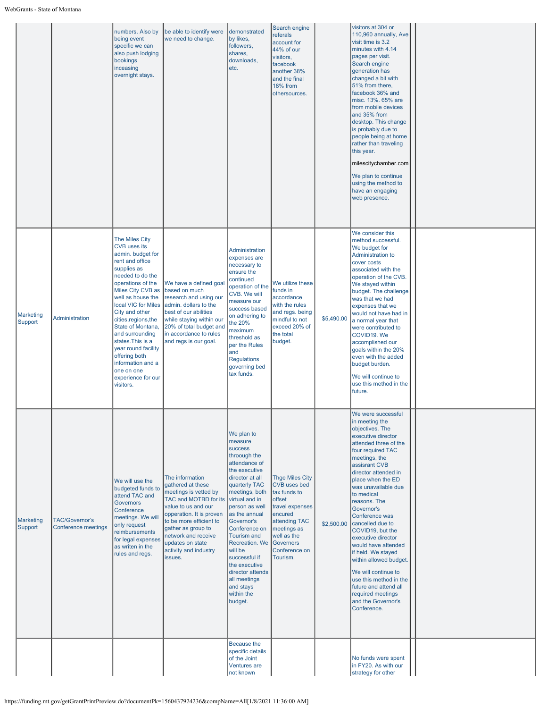$\overline{a}$ 

|                             |                                              | numbers. Also by<br>being event<br>specific we can<br>also push lodging<br>bookings<br>inceasing<br>overnight stays.                                                                                                                                                                                                                                                                                                       | be able to identify were<br>we need to change.                                                                                                                                                                                                                            | demonstrated<br>by likes,<br>followers,<br>shares,<br>downloads,<br>etc.                                                                                                                                                                                                                                                                                                                                     | Search engine<br>referals<br>account for<br>44% of our<br>visitors,<br>facebook<br>another 38%<br>and the final<br>18% from<br>othersources.                                      |            | visitors at 304 or<br>110,960 annually, Ave<br>visit time is 3.2<br>minutes with 4.14<br>pages per visit.<br>Search engine<br>generation has<br>changed a bit with<br>51% from there,<br>facebook 36% and<br>misc. 13%. 65% are<br>from mobile devices<br>and 35% from<br>desktop. This change<br>is probably due to<br>people being at home<br>rather than traveling<br>this year.<br>milescitychamber.com<br>We plan to continue<br>using the method to<br>have an engaging<br>web presence.                                                                           |  |
|-----------------------------|----------------------------------------------|----------------------------------------------------------------------------------------------------------------------------------------------------------------------------------------------------------------------------------------------------------------------------------------------------------------------------------------------------------------------------------------------------------------------------|---------------------------------------------------------------------------------------------------------------------------------------------------------------------------------------------------------------------------------------------------------------------------|--------------------------------------------------------------------------------------------------------------------------------------------------------------------------------------------------------------------------------------------------------------------------------------------------------------------------------------------------------------------------------------------------------------|-----------------------------------------------------------------------------------------------------------------------------------------------------------------------------------|------------|--------------------------------------------------------------------------------------------------------------------------------------------------------------------------------------------------------------------------------------------------------------------------------------------------------------------------------------------------------------------------------------------------------------------------------------------------------------------------------------------------------------------------------------------------------------------------|--|
| <b>Marketing</b><br>Support | <b>Administration</b>                        | The Miles City<br><b>CVB</b> uses its<br>admin. budget for<br>rent and office<br>supplies as<br>needed to do the<br>operations of the<br>Miles City CVB as<br>well as house the<br>local VIC for Miles<br>City and other<br>cities, regions, the<br>State of Montana,<br>and surrounding<br>states.This is a<br>year round facility<br>offering both<br>information and a<br>one on one<br>experience for our<br>visitors. | We have a defined goal<br>based on much<br>research and using our<br>admin. dollars to the<br>best of our abilities<br>while staying within our<br>20% of total budget and<br>in accordance to rules<br>and regs is our goal.                                             | Administration<br>expenses are<br>necessary to<br>ensure the<br>continued<br>operation of the<br>CVB. We will<br>measure our<br>success based<br>on adhering to<br>the 20%<br>maximum<br>threshold as<br>per the Rules<br>and<br><b>Regulations</b><br>governing bed<br>tax funds.                                                                                                                           | We utilize these<br>funds in<br>accordance<br>with the rules<br>and regs. being<br>mindful to not<br>exceed 20% of<br>the total<br>budget.                                        | \$5,490.00 | We consider this<br>method successful.<br>We budget for<br><b>Administration to</b><br>cover costs<br>associated with the<br>operation of the CVB.<br>We stayed within<br>budget. The challenge<br>was that we had<br>expenses that we<br>would not have had in<br>a normal year that<br>were contributed to<br>COVID19. We<br>accomplished our<br>goals within the 20%<br>even with the added<br>budget burden.<br>We will continue to<br>use this method in the<br>future.                                                                                             |  |
| <b>Marketing</b><br>Support | <b>TAC/Governor's</b><br>Conference meetings | We will use the<br>budgeted funds to<br>attend TAC and<br><b>Governors</b><br>Conference<br>meetings. We will<br>only request<br>reimbursements<br>for legal expenses<br>as writen in the<br>rules and regs.                                                                                                                                                                                                               | The information<br>gathered at these<br>meetings is vetted by<br>TAC and MOTBD for its<br>value to us and our<br>opperation. It is proven<br>to be more efficient to<br>gather as group to<br>network and receive<br>updates on state<br>activity and industry<br>issues. | We plan to<br>measure<br><b>success</b><br>throough the<br>attendance of<br>the executive<br>director at all<br>quarterly TAC<br>meetings, both<br>virtual and in<br>person as well<br>as the annual<br>Governor's<br>Conference on<br><b>Tourism and</b><br>Recreation. We Governors<br>will be<br>successful if<br>the executive<br>director attends<br>all meetings<br>and stays<br>within the<br>budget. | <b>Thge Miles City</b><br><b>CVB</b> uses bed<br>tax funds to<br>offset<br>travel expenses<br>encured<br>attending TAC<br>meetings as<br>well as the<br>Conference on<br>Tourism. | \$2,500.00 | We were successful<br>in meeting the<br>objectives. The<br>executive director<br>attended three of the<br>four required TAC<br>meetings, the<br>assisrant CVB<br>director attended in<br>place when the ED<br>was unavailable due<br>to medical<br>reasons. The<br>Governor's<br>Conference was<br>cancelled due to<br>COVID19, but the<br>executive director<br>would have attended<br>if held. We stayed<br>within allowed budget.<br>We will continue to<br>use this method in the<br>future and attend all<br>required meetings<br>and the Governor's<br>Conference. |  |
|                             |                                              |                                                                                                                                                                                                                                                                                                                                                                                                                            |                                                                                                                                                                                                                                                                           | Because the<br>specific details<br>of the Joint<br>Ventures are<br>not known                                                                                                                                                                                                                                                                                                                                 |                                                                                                                                                                                   |            | No funds were spent<br>in FY20. As with our<br>strategy for other                                                                                                                                                                                                                                                                                                                                                                                                                                                                                                        |  |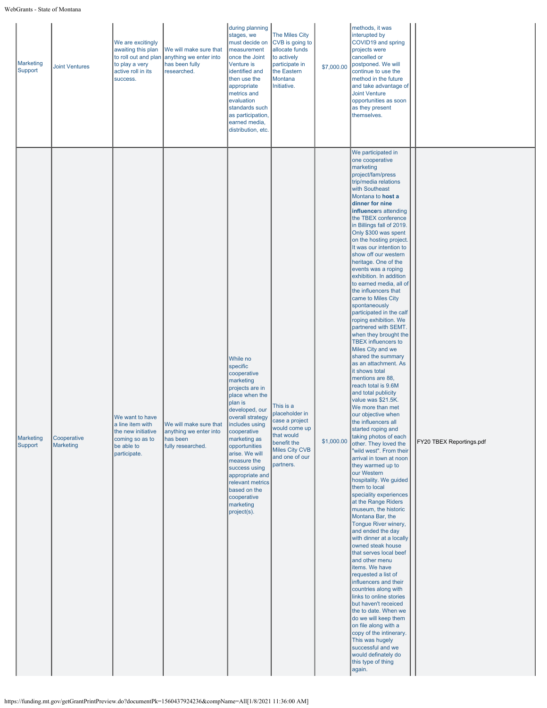| Marketing<br>Support        | <b>Joint Ventures</b>    | We are excitingly<br>awaiting this plan<br>to roll out and plan<br>to play a very<br>active roll in its<br>success. | We will make sure that<br>anything we enter into<br>has been fully<br>researched. | during planning<br>stages, we<br>must decide on<br>measurement<br>once the Joint<br>Venture is<br>identified and<br>then use the<br>appropriate<br>metrics and<br>evaluation<br>standards such<br>as participation,<br>earned media,<br>distribution, etc.                                                                                                   | The Miles City<br>CVB is going to<br>allocate funds<br>to actively<br>participate in<br>the Eastern<br>Montana<br>Initiative.                | \$7,000.00 | methods, it was<br>interupted by<br>COVID19 and spring<br>projects were<br>cancelled or<br>postponed. We will<br>continue to use the<br>method in the future<br>and take advantage of<br><b>Joint Venture</b><br>opportunities as soon<br>as they present<br>themselves.                                                                                                                                                                                                                                                                                                                                                                                                                                                                                                                                                                                                                                                                                                                                                                                                                                                                                                                                                                                                                                                                                                                                                                                                                                                                                                                                                                                                                              |                          |
|-----------------------------|--------------------------|---------------------------------------------------------------------------------------------------------------------|-----------------------------------------------------------------------------------|--------------------------------------------------------------------------------------------------------------------------------------------------------------------------------------------------------------------------------------------------------------------------------------------------------------------------------------------------------------|----------------------------------------------------------------------------------------------------------------------------------------------|------------|-------------------------------------------------------------------------------------------------------------------------------------------------------------------------------------------------------------------------------------------------------------------------------------------------------------------------------------------------------------------------------------------------------------------------------------------------------------------------------------------------------------------------------------------------------------------------------------------------------------------------------------------------------------------------------------------------------------------------------------------------------------------------------------------------------------------------------------------------------------------------------------------------------------------------------------------------------------------------------------------------------------------------------------------------------------------------------------------------------------------------------------------------------------------------------------------------------------------------------------------------------------------------------------------------------------------------------------------------------------------------------------------------------------------------------------------------------------------------------------------------------------------------------------------------------------------------------------------------------------------------------------------------------------------------------------------------------|--------------------------|
| <b>Marketing</b><br>Support | Cooperative<br>Marketing | We want to have<br>a line item with<br>the new initiative<br>coming so as to<br>be able to<br>participate.          | We will make sure that<br>anything we enter into<br>has been<br>fully researched. | While no<br>specific<br>cooperative<br>marketing<br>projects are in<br>place when the<br>plan is<br>developed, our<br>overall strategy<br>includes using<br>cooperative<br>marketing as<br>opportunities<br>arise. We will<br>measure the<br>success using<br>appropriate and<br>relevant metrics<br>based on the<br>cooperative<br>marketing<br>project(s). | This is a<br>placeholder in<br>case a project<br>would come up<br>that would<br>benefit the<br>Miles City CVB<br>and one of our<br>partners. | \$1,000.00 | We participated in<br>one cooperative<br>marketing<br>project/fam/press<br>trip/media relations<br>with Southeast<br>Montana to host a<br>dinner for nine<br>influencers attending<br>the TBEX conference<br>in Billings fall of 2019.<br>Only \$300 was spent<br>on the hosting project.<br>It was our intention to<br>show off our western<br>heritage. One of the<br>events was a roping<br>exhibition. In addition<br>to earned media, all of<br>the influencers that<br>came to Miles City<br>spontaneously<br>participated in the calf<br>roping exhibition. We<br>partnered with SEMT.<br>when they brought the<br><b>TBEX</b> influencers to<br>Miles City and we<br>shared the summary<br>as an attachment. As<br>it shows total<br>mentions are 88,<br>reach total is 9.6M<br>and total publicity<br>value was \$21.5K.<br>We more than met<br>our objective when<br>the influencers all<br>started roping and<br>taking photos of each<br>other. They loved the<br>'wild west". From their<br>arrival in town at noon<br>they warmed up to<br>our Western<br>hospitality. We guided<br>them to local<br>speciality experiences<br>at the Range Riders<br>museum, the historic<br>Montana Bar, the<br>Tongue River winery,<br>and ended the day<br>with dinner at a locally<br>owned steak house<br>that serves local beef<br>and other menu<br>items. We have<br>requested a list of<br>influencers and their<br>countries along with<br>links to online stories<br>but haven't receiced<br>the to date. When we<br>do we will keep them<br>on file along with a<br>copy of the intinerary.<br>This was hugely<br>successful and we<br>would definately do<br>this type of thing<br>again. | FY20 TBEX Reportings.pdf |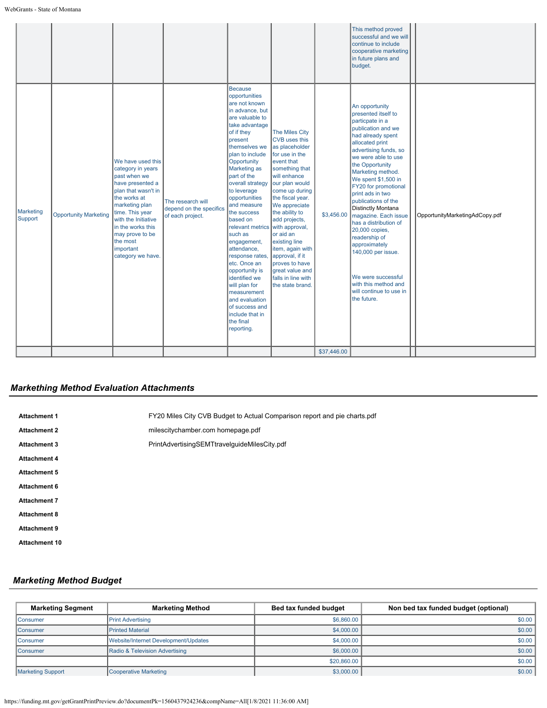|                             |                              |                                                                                                                                                                                                                                                                     |                                                                  |                                                                                                                                                                                                                                                                                                                                                                                                                                                                                                                                                                                              |                                                                                                                                                                                                                                                                                                                                                                                            |                           | This method proved<br>successful and we will<br>continue to include<br>cooperative marketing<br>in future plans and<br>budget.                                                                                                                                                                                                                                                                                                                                                                                                                           |                                |
|-----------------------------|------------------------------|---------------------------------------------------------------------------------------------------------------------------------------------------------------------------------------------------------------------------------------------------------------------|------------------------------------------------------------------|----------------------------------------------------------------------------------------------------------------------------------------------------------------------------------------------------------------------------------------------------------------------------------------------------------------------------------------------------------------------------------------------------------------------------------------------------------------------------------------------------------------------------------------------------------------------------------------------|--------------------------------------------------------------------------------------------------------------------------------------------------------------------------------------------------------------------------------------------------------------------------------------------------------------------------------------------------------------------------------------------|---------------------------|----------------------------------------------------------------------------------------------------------------------------------------------------------------------------------------------------------------------------------------------------------------------------------------------------------------------------------------------------------------------------------------------------------------------------------------------------------------------------------------------------------------------------------------------------------|--------------------------------|
| <b>Marketing</b><br>Support | <b>Opportunity Marketing</b> | We have used this<br>category in years<br>past when we<br>have presented a<br>plan that wasn't in<br>the works at<br>marketing plan<br>time. This year<br>with the Initiative<br>in the works this<br>may prove to be<br>the most<br>important<br>category we have. | The research will<br>depend on the specifics<br>of each project. | <b>Because</b><br>opportunities<br>are not known<br>in advance, but<br>are valuable to<br>take advantage<br>of if they<br>present<br>themselves we<br>plan to include<br>Opportunity<br><b>Marketing as</b><br>part of the<br>overall strategy<br>to leverage<br>opportunities<br>and measure<br>the success<br>based on<br>relevant metrics with approval,<br>such as<br>engagement,<br>attendance,<br>response rates.<br>etc. Once an<br>opportunity is<br>identified we<br>will plan for<br>measurement<br>and evaluation<br>of success and<br>include that in<br>the final<br>reporting. | The Miles City<br><b>CVB</b> uses this<br>as placeholder<br>for use in the<br>event that<br>something that<br>will enhance<br>our plan would<br>come up during<br>the fiscal year.<br>We appreciate<br>the ability to<br>add projects,<br>or aid an<br>existing line<br>item, again with<br>approval, if it<br>proves to have<br>great value and<br>falls in line with<br>the state brand. | \$3,456.00<br>\$37,446.00 | An opportunity<br>presented itself to<br>particpate in a<br>publication and we<br>had already spent<br>allocated print<br>advertising funds, so<br>we were able to use<br>the Opportunity<br>Marketing method.<br>We spent \$1,500 in<br>FY20 for promotional<br>print ads in two<br>publications of the<br><b>Distinctly Montana</b><br>magazine. Each issue<br>has a distribution of<br>20,000 copies,<br>readership of<br>approximately<br>140,000 per issue.<br>We were successful<br>with this method and<br>will continue to use in<br>the future. | OpportunityMarketingAdCopy.pdf |
|                             |                              |                                                                                                                                                                                                                                                                     |                                                                  |                                                                                                                                                                                                                                                                                                                                                                                                                                                                                                                                                                                              |                                                                                                                                                                                                                                                                                                                                                                                            |                           |                                                                                                                                                                                                                                                                                                                                                                                                                                                                                                                                                          |                                |

# *Markething Method Evaluation Attachments*

| <b>Attachment 1</b>  | FY20 Miles City CVB Budget to Actual Comparison report and pie charts.pdf |
|----------------------|---------------------------------------------------------------------------|
| <b>Attachment 2</b>  | milescitychamber.com homepage.pdf                                         |
| <b>Attachment 3</b>  | PrintAdvertisingSEMTtravelguideMilesCity.pdf                              |
| <b>Attachment 4</b>  |                                                                           |
| <b>Attachment 5</b>  |                                                                           |
| <b>Attachment 6</b>  |                                                                           |
| <b>Attachment 7</b>  |                                                                           |
| <b>Attachment 8</b>  |                                                                           |
| <b>Attachment 9</b>  |                                                                           |
| <b>Attachment 10</b> |                                                                           |

## *Marketing Method Budget*

| <b>Marketing Segment</b> | <b>Marketing Method</b>              | Bed tax funded budget | Non bed tax funded budget (optional) |
|--------------------------|--------------------------------------|-----------------------|--------------------------------------|
| <b>Consumer</b>          | <b>Print Advertising</b>             | \$6,860,00            | \$0.00                               |
| <b>Consumer</b>          | <b>Printed Material</b>              | \$4,000.00            | \$0.00                               |
| <b>Consumer</b>          | Website/Internet Development/Updates | \$4,000.00            | \$0.00                               |
| <b>Consumer</b>          | Radio & Television Advertising       | \$6,000.00            | \$0.00                               |
|                          |                                      | \$20,860.00           | \$0.00                               |
| <b>Marketing Support</b> | Cooperative Marketing                | \$3,000.00            | \$0.00                               |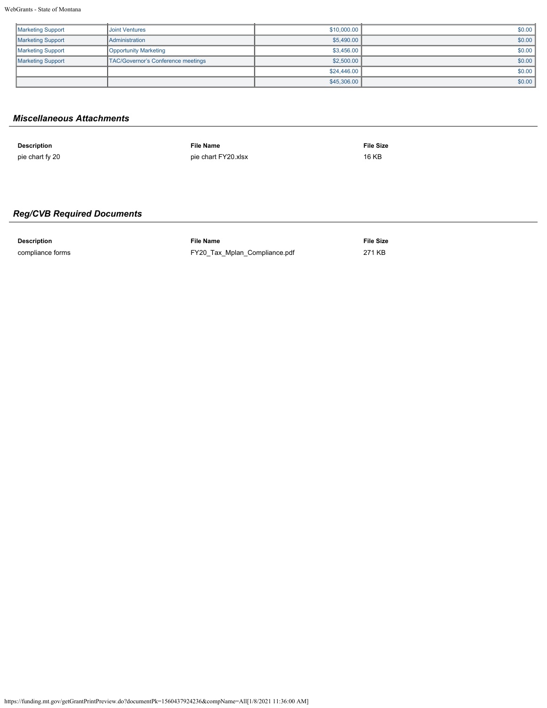| <b>Marketing Support</b> | <b>Joint Ventures</b>              | \$10,000.00 | \$0.00 |
|--------------------------|------------------------------------|-------------|--------|
| <b>Marketing Support</b> | <b>Administration</b>              | \$5,490.00  | \$0.00 |
| <b>Marketing Support</b> | Opportunity Marketing              | \$3,456.00  | \$0.00 |
| <b>Marketing Support</b> | TAC/Governor's Conference meetings | \$2,500.00  | \$0.00 |
|                          |                                    | \$24,446,00 | \$0.00 |
|                          |                                    | \$45,306.00 | \$0.00 |

## *Miscellaneous Attachments*

| <b>Description</b> | <b>File Name</b>    | <b>File Size</b> |
|--------------------|---------------------|------------------|
| pie chart fy 20    | pie chart FY20.xlsx | 16 KB            |

# *Reg/CVB Required Documents*

**Description File Name File Size** compliance forms [FY20\\_Tax\\_Mplan\\_Compliance.pdf](https://funding.mt.gov/fileDownload.jsp?filename=1556300849764_FY20_Tax_Mplan_Compliance.pdf) 271 KB